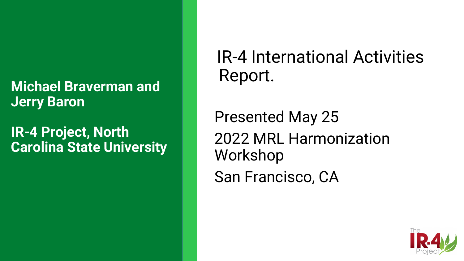#### **Michael Braverman and Jerry Baron**

**IR-4 Project, North Carolina State University**

#### IR-4 International Activities Report.

Presented May 25 2022 MRL Harmonization Workshop San Francisco, CA

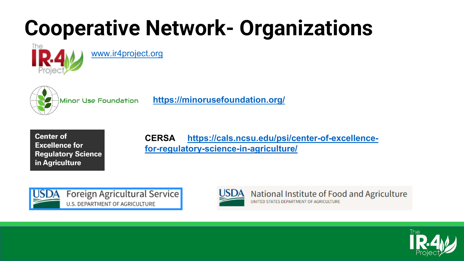## **Cooperative Network- Organizations**



[www.ir4project.org](https://nam02.safelinks.protection.outlook.com/?url=http%3A%2F%2Fwww.ir4project.org%2F&data=05%7C01%7Cmbrave%40sebs.rutgers.edu%7Cb30f198523f14a982a7808da35aee9f2%7Cb92d2b234d35447093ff69aca6632ffe%7C1%7C0%7C637881322612938798%7CUnknown%7CTWFpbGZsb3d8eyJWIjoiMC4wLjAwMDAiLCJQIjoiV2luMzIiLCJBTiI6Ik1haWwiLCJXVCI6Mn0%3D%7C3000%7C%7C%7C&sdata=jgiKTFnUVPJrUKobkrIK6kxt1QC73yxLgn%2FFnWghid4%3D&reserved=0)



**<https://minorusefoundation.org/>**



#### **[CERSA https://cals.ncsu.edu/psi/center-of-excellence](https://cals.ncsu.edu/psi/center-of-excellence-for-regulatory-science-in-agriculture/)for-regulatory-science-in-agriculture/**





National Institute of Food and Agriculture UNITED STATES DEPARTMENT OF AGRICULTURE

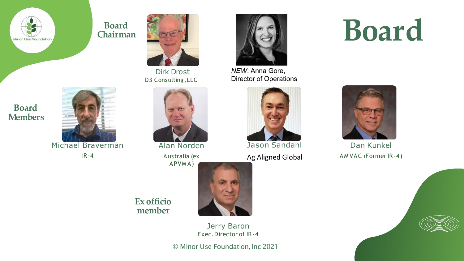

**Board Chairman**



Dirk Drost D3 Consulting, LLC



*NEW*: Anna Gore, Director of Operations

# Jason Sandahl

Ag Aligned Global





Dan Kunkel AM VAC (Former IR-4)





 $IR - 4$ 



Aus tralia (ex

APVM A)



**member**

**Ex officio** 

Jerry Baron Exec.Director of IR-4

© Minor Use Foundation,Inc 2021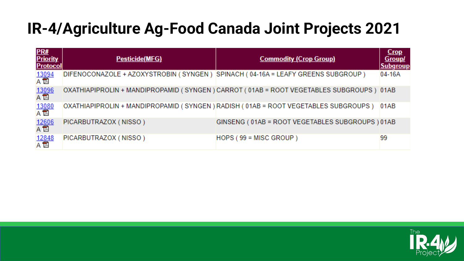#### **IR-4/Agriculture Ag-Food Canada Joint Projects 2021**

| PR#<br>Priority<br><b>Protocol</b>                               | Pesticide(MFG)                                                                  | <b>Commodity (Crop Group)</b>                                                           | <b>Crop</b><br><b>Group/</b><br><b>Subgroup</b> |
|------------------------------------------------------------------|---------------------------------------------------------------------------------|-----------------------------------------------------------------------------------------|-------------------------------------------------|
| $\frac{13094}{A \cdot \overline{13}}$                            | DIFENOCONAZOLE + AZOXYSTROBIN (SYNGEN) SPINACH (04-16A = LEAFY GREENS SUBGROUP) |                                                                                         | $04-16A$                                        |
| $\frac{13096}{A \ \overline{12}}$                                |                                                                                 | OXATHIAPIPROLIN + MANDIPROPAMID (SYNGEN) CARROT (01AB = ROOT VEGETABLES SUBGROUPS) 01AB |                                                 |
| $\frac{13080}{A \cdot \overline{12}}$                            |                                                                                 | OXATHIAPIPROLIN + MANDIPROPAMID (SYNGEN) RADISH (01AB = ROOT VEGETABLES SUBGROUPS)      | 01AB                                            |
| $\frac{12606}{A \ \overline{12}}$                                | PICARBUTRAZOX (NISSO)                                                           | GINSENG ( 01AB = ROOT VEGETABLES SUBGROUPS ) 01AB                                       |                                                 |
| $\begin{array}{c}\n12848 \\ \hline\nA \quad \hline\n\end{array}$ | PICARBUTRAZOX (NISSO)                                                           | HOPS (99 = MISC GROUP)                                                                  | 99                                              |

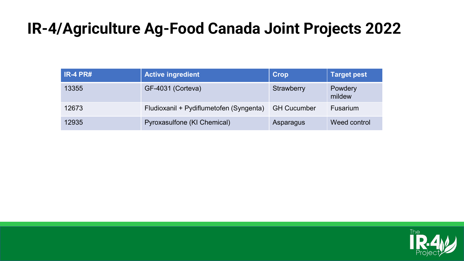#### **IR-4/Agriculture Ag-Food Canada Joint Projects 2022**

| $IR-4 PR#$ | <b>Active ingredient</b>                | <b>Crop</b>        | Target pest       |
|------------|-----------------------------------------|--------------------|-------------------|
| 13355      | GF-4031 (Corteva)                       | Strawberry         | Powdery<br>mildew |
| 12673      | Fludioxanil + Pydiflumetofen (Syngenta) | <b>GH Cucumber</b> | <b>Fusarium</b>   |
| 12935      | Pyroxasulfone (KI Chemical)             | Asparagus          | Weed control      |

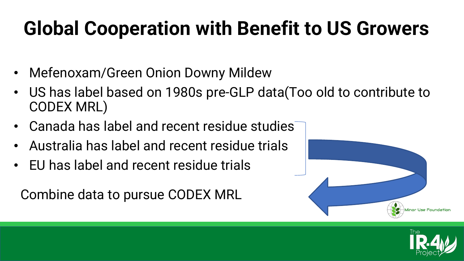#### **Global Cooperation with Benefit to US Growers**

- Mefenoxam/Green Onion Downy Mildew
- US has label based on 1980s pre-GLP data(Too old to contribute to CODEX MRL)
- Canada has label and recent residue studies
- Australia has label and recent residue trials
- EU has label and recent residue trials

Combine data to pursue CODEX MRL



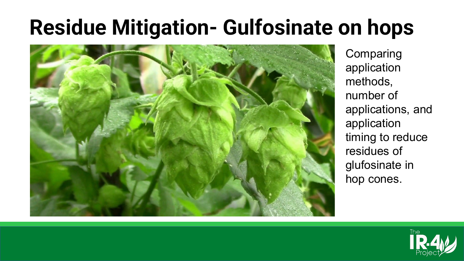### **Residue Mitigation- Gulfosinate on hops**



**Comparing** application methods, number of applications, and application timing to reduce residues of glufosinate in hop cones.

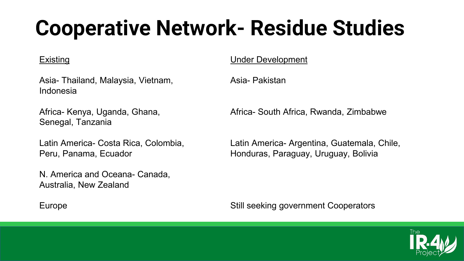## **Cooperative Network- Residue Studies**

#### Existing

Asia- Thailand, Malaysia, Vietnam, Indonesia

Africa- Kenya, Uganda, Ghana, Senegal, Tanzania

Latin America- Costa Rica, Colombia, Peru, Panama, Ecuador

N. America and Oceana- Canada, Australia, New Zealand

Under Development

Asia- Pakistan

Africa- South Africa, Rwanda, Zimbabwe

Latin America- Argentina, Guatemala, Chile, Honduras, Paraguay, Uruguay, Bolivia

Still seeking government Cooperators



Europe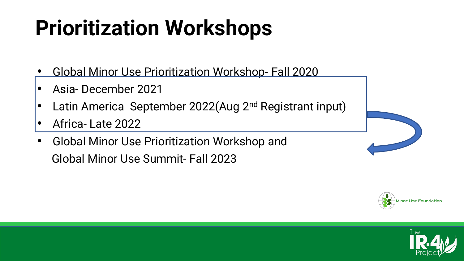## **Prioritization Workshops**

- Global Minor Use Prioritization Workshop- Fall 2020
- Asia- December 2021
- Latin America September 2022(Aug 2<sup>nd</sup> Registrant input)

Minor Use Foundatio

- Africa- Late 2022
- Global Minor Use Prioritization Workshop and Global Minor Use Summit- Fall 2023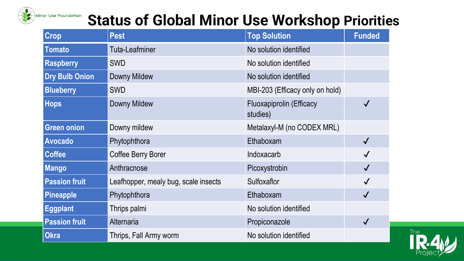

#### **Status of Global Minor Use Workshop Priorities**

| Crop                  | <b>Pest</b>                          | <b>Top Solution</b>                  | <b>Funded</b> |
|-----------------------|--------------------------------------|--------------------------------------|---------------|
| Tomato                | <b>Tuta-Leafminer</b>                | No solution identified               |               |
| <b>Raspberry</b>      | <b>SWD</b>                           | No solution identified               |               |
| <b>Dry Bulb Onion</b> | Downy Mildew                         | No solution identified               |               |
| <b>Blueberry</b>      | <b>SWD</b>                           | MBI-203 (Efficacy only on hold)      |               |
| <b>Hops</b>           | <b>Downy Mildew</b>                  | Fluoxapiprolin (Efficacy<br>studies) | $\checkmark$  |
| <b>Green onion</b>    | Downy mildew                         | Metalaxyl-M (no CODEX MRL)           |               |
| <b>Avocado</b>        | Phytophthora                         | Ethaboxam                            | $\checkmark$  |
| <b>Coffee</b>         | <b>Coffee Berry Borer</b>            | Indoxacarb                           | $\checkmark$  |
| <b>Mango</b>          | Anthracnose<br>Picoxystrobin         |                                      | $\checkmark$  |
| <b>Passion fruit</b>  | Leafhopper, mealy bug, scale insects | Sulfoxaflor                          | $\checkmark$  |
| <b>Pineapple</b>      | Phytophthora                         | Ethaboxam                            | $\checkmark$  |
| <b>Eggplant</b>       | Thrips palmi                         | No solution identified               |               |
| <b>Passion fruit</b>  | Alternaria                           | Propiconazole                        | $\checkmark$  |
| <b>Okra</b>           | Thrips, Fall Army worm               | No solution identified               |               |

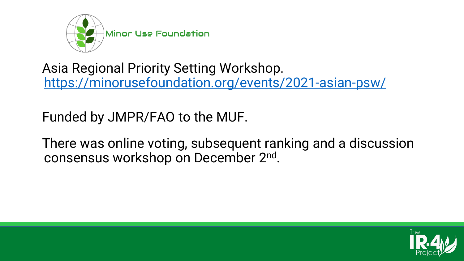

Asia Regional Priority Setting Workshop. <https://minorusefoundation.org/events/2021-asian-psw/>

Funded by JMPR/FAO to the MUF.

There was online voting, subsequent ranking and a discussion consensus workshop on December 2nd.

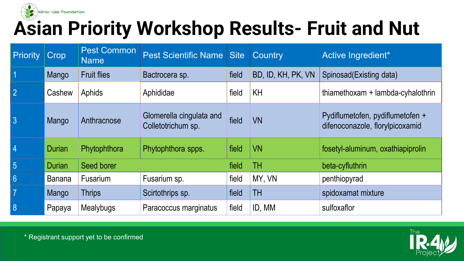

#### **Asian Priority Workshop Results- Fruit and Nut**

| Priority         | Crop          | <b>Pest Common</b><br><b>Name</b> | <b>Pest Scientific Name Site</b>               |       | <b>Country</b>     | Active Ingredient*                                                  |
|------------------|---------------|-----------------------------------|------------------------------------------------|-------|--------------------|---------------------------------------------------------------------|
| $\vert$ 1        | Mango         | <b>Fruit flies</b>                | Bactrocera sp.                                 | field | BD, ID, KH, PK, VN | Spinosad (Existing data)                                            |
| $\vert$ 2        | Cashew        | Aphids                            | Aphididae                                      | field | <b>KH</b>          | thiamethoxam + lambda-cyhalothrin                                   |
| 3                | Mango         | Anthracnose                       | Glomerella cingulata and<br>Colletotrichum sp. | field | <b>VN</b>          | Pydiflumetofen, pydiflumetofen +<br>difenoconazole, florylpicoxamid |
| $\vert 4$        | Durian        | Phytophthora                      | Phytophthora spps.                             | field | <b>VN</b>          | fosetyl-aluminum, oxathiapiprolin                                   |
| 5                | <b>Durian</b> | Seed borer                        |                                                | field | TН                 | beta-cyfluthrin                                                     |
| $6 \overline{6}$ | Banana        | Fusarium                          | Fusarium sp.                                   | field | MY, VN             | penthiopyrad                                                        |
| $\vert$ 7        | Mango         | <b>Thrips</b>                     | Scirtothrips sp.                               | field | TH                 | spidoxamat mixture                                                  |
| 8                | Papaya        | Mealybugs                         | Paracoccus marginatus                          | field | ID, MM             | sulfoxaflor                                                         |



\* Registrant support yet to be confirmed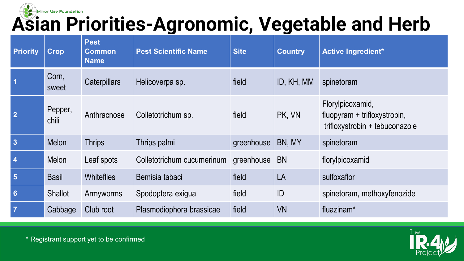

| <b>Priority</b> | <b>Crop</b>      | <b>Pest</b><br><b>Common</b><br><b>Name</b> | <b>Pest Scientific Name</b> | <b>Site</b> | <b>Country</b> | <b>Active Ingredient*</b>                                                          |
|-----------------|------------------|---------------------------------------------|-----------------------------|-------------|----------------|------------------------------------------------------------------------------------|
|                 | Corn,<br>sweet   | <b>Caterpillars</b>                         | Helicoverpa sp.             | field       | ID, KH, MM     | spinetoram                                                                         |
| $\overline{2}$  | Pepper,<br>chili | Anthracnose                                 | Colletotrichum sp.          | field       | PK, VN         | Florylpicoxamid,<br>fluopyram + trifloxystrobin,<br>trifloxystrobin + tebuconazole |
| $\overline{3}$  | <b>Melon</b>     | <b>Thrips</b>                               | Thrips palmi                | greenhouse  | BN, MY         | spinetoram                                                                         |
| $\overline{4}$  | <b>Melon</b>     | Leaf spots                                  | Colletotrichum cucumerinum  | greenhouse  | <b>BN</b>      | florylpicoxamid                                                                    |
| $5\phantom{1}$  | <b>Basil</b>     | <b>Whiteflies</b>                           | Bemisia tabaci              | field       | LA             | sulfoxaflor                                                                        |
| $6\phantom{a}$  | <b>Shallot</b>   | Armyworms                                   | Spodoptera exigua           | field       | ID             | spinetoram, methoxyfenozide                                                        |
| $\overline{7}$  | Cabbage          | Club root                                   | Plasmodiophora brassicae    | field       | <b>VN</b>      | fluazinam <sup>*</sup>                                                             |



\* Registrant support yet to be confirmed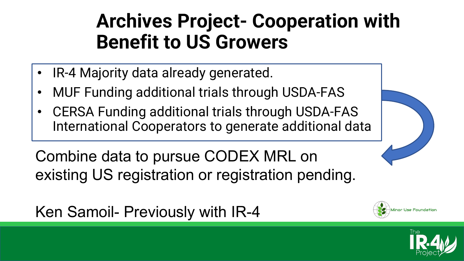- IR-4 Majority data already generated.
- MUF Funding additional trials through USDA-FAS
- CERSA Funding additional trials through USDA-FAS International Cooperators to generate additional data

Combine data to pursue CODEX MRL on existing US registration or registration pending.

Ken Samoil- Previously with IR-4



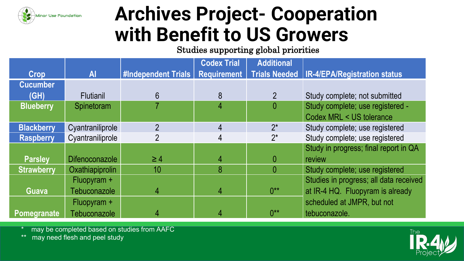

Studies supporting global priorities

|                   |                       |                     | <b>Codex Trial</b> | <b>Additional</b> |                                              |
|-------------------|-----------------------|---------------------|--------------------|-------------------|----------------------------------------------|
| Crop              | <b>Al</b>             | #Independent Trials | <b>Requirement</b> |                   | Trials Needed   IR-4/EPA/Registration status |
| <b>Cucumber</b>   |                       |                     |                    |                   |                                              |
| (GH)              | <b>Flutianil</b>      | 6                   | 8                  |                   | Study complete; not submitted                |
| <b>Blueberry</b>  | Spinetoram            |                     | 4                  | $\overline{0}$    | Study complete; use registered -             |
|                   |                       |                     |                    |                   | Codex MRL < US tolerance                     |
| <b>Blackberry</b> | Cyantraniliprole      | $\overline{2}$      | 4                  | $2^*$             | Study complete; use registered               |
| <b>Raspberry</b>  | Cyantraniliprole      | $\overline{2}$      | 4                  | $2^*$             | Study complete; use registered               |
|                   |                       |                     |                    |                   | Study in progress; final report in QA        |
| <b>Parsley</b>    | <b>Difenoconazole</b> | $\geq 4$            | 4                  | 0                 | review                                       |
| <b>Strawberry</b> | Oxathiapiprolin       | 10 <sup>°</sup>     | 8                  | $\overline{0}$    | Study complete; use registered               |
|                   | Fluopyram +           |                     |                    |                   | Studies in progress; all data received       |
| <b>Guava</b>      | Tebuconazole          | $\overline{4}$      | 4                  | $0***$            | at IR-4 HQ. Fluopyram is already             |
|                   | Fluopyram +           |                     |                    |                   | scheduled at JMPR, but not                   |
| Pomegranate       | Tebuconazole          | 4                   | 4                  | $0**$             | tebuconazole.                                |

may be completed based on studies from AAFC

\*\* may need flesh and peel study

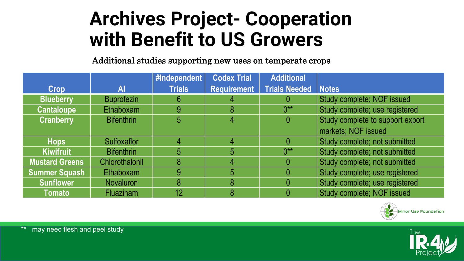Additional studies supporting new uses on temperate crops

|                       |                   | #Independent   | <b>Codex Trial</b> | <b>Additional</b>            |                                  |
|-----------------------|-------------------|----------------|--------------------|------------------------------|----------------------------------|
| <b>Crop</b>           | Al                | <b>Trials</b>  | <b>Requirement</b> | <b>Trials Needed   Notes</b> |                                  |
| <b>Blueberry</b>      | <b>Buprofezin</b> | 6              |                    |                              | Study complete; NOF issued       |
| <b>Cantaloupe</b>     | Ethaboxam         | 9              | 8                  | $0**$                        | Study complete; use registered   |
| <b>Cranberry</b>      | <b>Bifenthrin</b> | 5 <sup>5</sup> |                    |                              | Study complete to support export |
|                       |                   |                |                    |                              | markets; NOF issued              |
| <b>Hops</b>           | Sulfoxaflor       | 4              |                    |                              | Study complete; not submitted    |
| <b>Kiwifruit</b>      | <b>Bifenthrin</b> | 5              | 5                  | $0***$                       | Study complete; not submitted    |
| <b>Mustard Greens</b> | Chlorothalonil    | 8              |                    |                              | Study complete; not submitted    |
| <b>Summer Squash</b>  | Ethaboxam         | 9              | 5                  |                              | Study complete; use registered   |
| <b>Sunflower</b>      | <b>Novaluron</b>  | 8              | 8                  |                              | Study complete; use registered   |
| <b>Tomato</b>         | <b>Fluazinam</b>  | 12             |                    |                              | Study complete; NOF issued       |



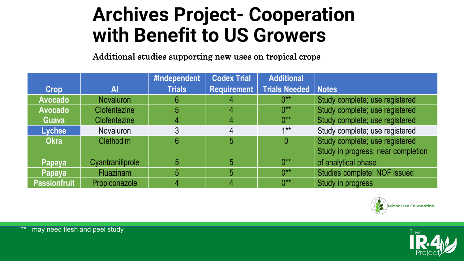Additional studies supporting new uses on tropical crops

|                     |                     | #Independent  | <b>Codex Trial</b> | <b>Additional</b>     |                                    |
|---------------------|---------------------|---------------|--------------------|-----------------------|------------------------------------|
| <b>Crop</b>         | Al                  | <b>Trials</b> | <b>Requirement</b> | Trials Needed   Notes |                                    |
| <b>Avocado</b>      | <b>Novaluron</b>    | 6             |                    | $0^{**}$              | Study complete; use registered     |
| <b>Avocado</b>      | <b>Clofentezine</b> |               |                    | $0^{**}$              | Study complete; use registered     |
| <b>Guava</b>        | <b>Clofentezine</b> |               |                    | $0^{**}$              | Study complete; use registered     |
| Lychee              | <b>Novaluron</b>    |               |                    | $1**$                 | Study complete; use registered     |
| <b>Okra</b>         | <b>Clethodim</b>    |               | 5                  | $\overline{0}$        | Study complete; use registered     |
|                     |                     |               |                    |                       | Study in progress; near completion |
| Papaya              | Cyantraniliprole    |               |                    | $0***$                | of analytical phase                |
| <b>Papaya</b>       | <b>Fluazinam</b>    | 5             | 5                  | $0**$                 | Studies complete; NOF issued       |
| <b>Passionfruit</b> | Propiconazole       |               |                    | $0^{**}$              | Study in progress                  |



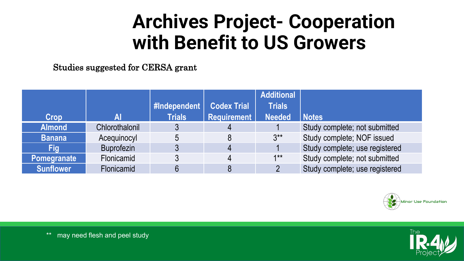Studies suggested for CERSA grant

|                  |                   |               |                    | <b>Additional</b> |                                |
|------------------|-------------------|---------------|--------------------|-------------------|--------------------------------|
|                  |                   | #Independent  | <b>Codex Trial</b> | <b>Trials</b>     |                                |
| Crop             |                   | <b>Trials</b> | <b>Requirement</b> | <b>Needed</b>     | <b>Notes</b>                   |
| <b>Almond</b>    | Chlorothalonil    |               | 4                  |                   | Study complete; not submitted  |
| <b>Banana</b>    | Acequinocyl       |               |                    | $3***$            | Study complete; NOF issued     |
| Fig              | <b>Buprofezin</b> |               | $\overline{4}$     |                   | Study complete; use registered |
| Pomegranate      | Flonicamid        |               | 4                  | $1**$             | Study complete; not submitted  |
| <b>Sunflower</b> | <b>Flonicamid</b> |               | 8                  |                   | Study complete; use registered |



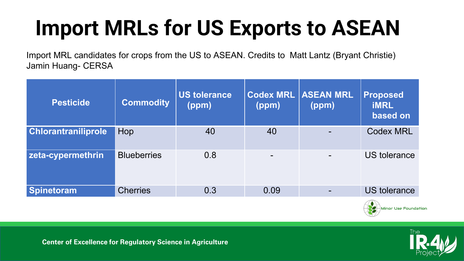## **Import MRLs for US Exports to ASEAN**

Import MRL candidates for crops from the US to ASEAN. Credits to Matt Lantz (Bryant Christie) Jamin Huang- CERSA

| <b>Pesticide</b>           | <b>Commodity</b>   | US tolerance<br>(ppm) | <b>Codex MRL</b><br>(ppm) | <b>ASEAN MRL</b><br>(ppm) | <b>Proposed</b><br><b>iMRL</b><br>based on |
|----------------------------|--------------------|-----------------------|---------------------------|---------------------------|--------------------------------------------|
| <b>Chlorantraniliprole</b> | Hop                | 40                    | 40                        |                           | <b>Codex MRL</b>                           |
| zeta-cypermethrin          | <b>Blueberries</b> | 0.8                   | $\overline{\phantom{a}}$  |                           | <b>US tolerance</b>                        |
| Spinetoram                 | <b>Cherries</b>    | 0.3                   | 0.09                      |                           | <b>US</b> tolerance                        |





**Center of Excellence for Regulatory Science in Agriculture**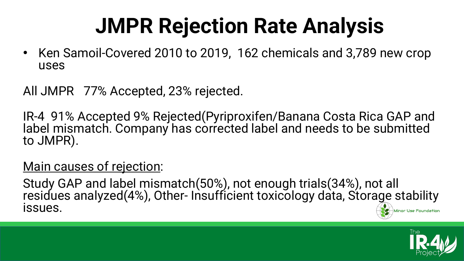### **JMPR Rejection Rate Analysis**

• Ken Samoil-Covered 2010 to 2019, 162 chemicals and 3,789 new crop uses

All JMPR 77% Accepted, 23% rejected.

IR-4 91% Accepted 9% Rejected(Pyriproxifen/Banana Costa Rica GAP and label mismatch. Company has corrected label and needs to be submitted to JMPR).

#### Main causes of rejection:

Study GAP and label mismatch(50%), not enough trials(34%), not all residues analyzed(4%), Other- Insufficient toxicology data, Storage stability issues. Minor Use Foundatior